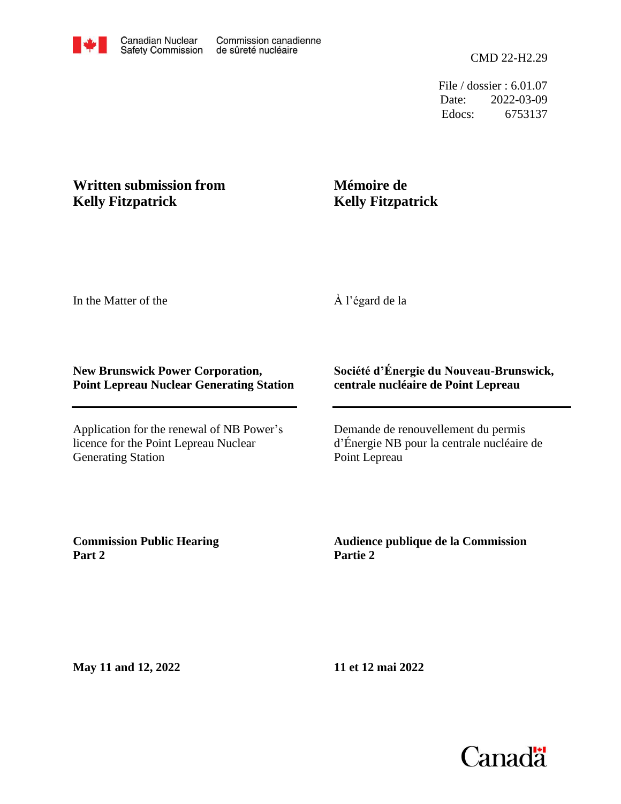File / dossier : 6.01.07 Date: 2022-03-09 Edocs: 6753137

## **Written submission from Kelly Fitzpatrick**

## **Mémoire de Kelly Fitzpatrick**

In the Matter of the

À l'égard de la

#### **New Brunswick Power Corporation, Point Lepreau Nuclear Generating Station**

Application for the renewal of NB Power's licence for the Point Lepreau Nuclear Generating Station

### **Société d'Énergie du Nouveau-Brunswick, centrale nucléaire de Point Lepreau**

Demande de renouvellement du permis d'Énergie NB pour la centrale nucléaire de Point Lepreau

**Commission Public Hearing Part 2**

**Audience publique de la Commission Partie 2**

**May 11 and 12, 2022**

**11 et 12 mai 2022**